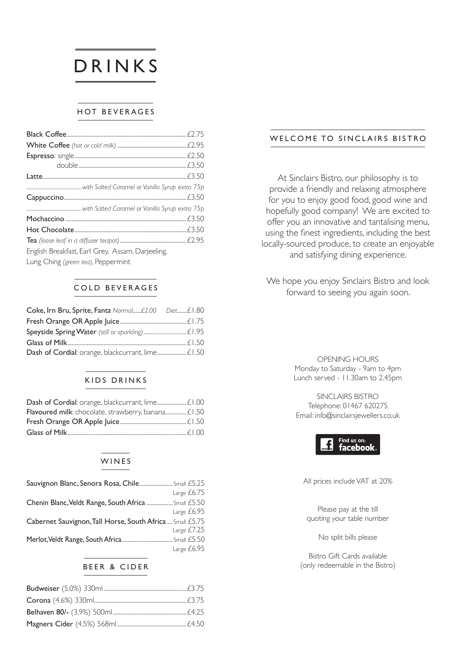# DRINKS

#### HOT BEVERAGES

| English Breakfast, Earl Grey, Assam, Darjeeling, |  |
|--------------------------------------------------|--|
| Lung Ching (green tea), Peppermint               |  |

#### COLD BEVERAGES

| Coke, Irn Bru, Sprite, Fanta Normal£2.00 Diet£1.80 |  |
|----------------------------------------------------|--|
|                                                    |  |
|                                                    |  |
|                                                    |  |
|                                                    |  |

#### KIDS DRINKS

| Flavoured milk: chocolate, strawberry, banana £1.50 |  |
|-----------------------------------------------------|--|
|                                                     |  |
|                                                     |  |

#### WINES

| Sauvignon Blanc, Senora Rosa, Chile Small £5.25           |               |
|-----------------------------------------------------------|---------------|
|                                                           | Large $£6.75$ |
| Chenin Blanc, Veldt Range, South Africa  Small £5.50      |               |
|                                                           | Large $£6.95$ |
| Cabernet Sauvignon, Tall Horse, South Africa  Small £5.75 |               |
|                                                           | Large $£7.25$ |
|                                                           |               |
|                                                           | Large £6.95   |

#### BEER & CIDER

#### WELCOME TO SINCLAIRS BISTRO

At Sinclairs Bistro, our philosophy is to provide a friendly and relaxing atmosphere for you to enjoy good food, good wine and hopefully good company! We are excited to offer you an innovative and tantalising menu, using the finest ingredients, including the best locally-sourced produce, to create an enjoyable and satisfying dining experience.

We hope you enjoy Sinclairs Bistro and look forward to seeing you again soon.

> OPENING HOURS Monday to Saturday - 9am to 4pm Lunch served - 11.30am to 2.45pm

SINCLAIRS BISTRO Telephone: 01467 620275 Email: info@sinclairsjewellers.co.uk



All prices include VAT at 20%

Please pay at the till quoting your table number

No split bills please

Bistro Gift Cards available (only redeemable in the Bistro)